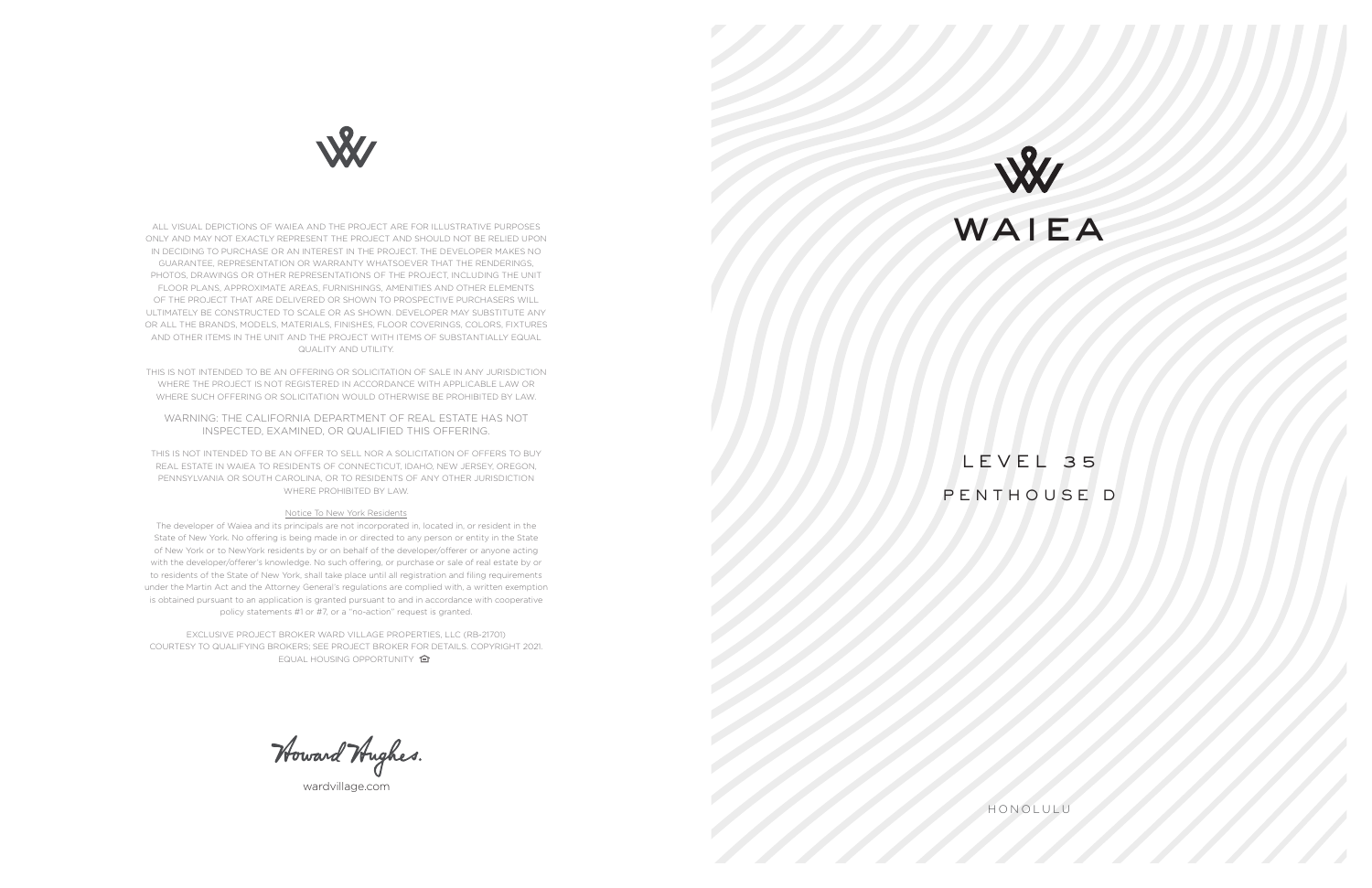HONOLULU

LEVEL 35 PENTHOUSE D



wardvillage.com



ALL VISUAL DEPICTIONS OF WAIEA AND THE PROJECT ARE FOR ILLUSTRATIVE PURPOSES ONLY AND MAY NOT EXACTLY REPRESENT THE PROJECT AND SHOULD NOT BE RELIED UPON IN DECIDING TO PURCHASE OR AN INTEREST IN THE PROJECT. THE DEVELOPER MAKES NO GUARANTEE, REPRESENTATION OR WARRANTY WHATSOEVER THAT THE RENDERINGS, PHOTOS, DRAWINGS OR OTHER REPRESENTATIONS OF THE PROJECT, INCLUDING THE UNIT FLOOR PLANS, APPROXIMATE AREAS, FURNISHINGS, AMENITIES AND OTHER ELEMENTS OF THE PROJECT THAT ARE DELIVERED OR SHOWN TO PROSPECTIVE PURCHASERS WILL ULTIMATELY BE CONSTRUCTED TO SCALE OR AS SHOWN. DEVELOPER MAY SUBSTITUTE ANY OR ALL THE BRANDS, MODELS, MATERIALS, FINISHES, FLOOR COVERINGS, COLORS, FIXTURES AND OTHER ITEMS IN THE UNIT AND THE PROJECT WITH ITEMS OF SUBSTANTIALLY EQUAL QUALITY AND UTILITY.

THIS IS NOT INTENDED TO BE AN OFFERING OR SOLICITATION OF SALE IN ANY JURISDICTION WHERE THE PROJECT IS NOT REGISTERED IN ACCORDANCE WITH APPLICABLE LAW OR WHERE SUCH OFFERING OR SOLICITATION WOULD OTHERWISE BE PROHIBITED BY LAW.

EXCLUSIVE PROJECT BROKER WARD VILLAGE PROPERTIES, LLC (RB-21701) COURTESY TO QUALIFYING BROKERS; SEE PROJECT BROKER FOR DETAILS. COPYRIGHT 2021. EQUAL HOUSING OPPORTUNITY **合** 

Howard Hughes.

WARNING: THE CALIFORNIA DEPARTMENT OF REAL ESTATE HAS NOT INSPECTED, EXAMINED, OR QUALIFIED THIS OFFERING.

THIS IS NOT INTENDED TO BE AN OFFER TO SELL NOR A SOLICITATION OF OFFERS TO BUY REAL ESTATE IN WAIEA TO RESIDENTS OF CONNECTICUT, IDAHO, NEW JERSEY, OREGON, PENNSYLVANIA OR SOUTH CAROLINA, OR TO RESIDENTS OF ANY OTHER JURISDICTION WHERE PROHIBITED BY LAW.

## Notice To New York Residents

The developer of Waiea and its principals are not incorporated in, located in, or resident in the State of New York. No offering is being made in or directed to any person or entity in the State of New York or to NewYork residents by or on behalf of the developer/offerer or anyone acting with the developer/offerer's knowledge. No such offering, or purchase or sale of real estate by or to residents of the State of New York, shall take place until all registration and filing requirements under the Martin Act and the Attorney General's regulations are complied with, a written exemption is obtained pursuant to an application is granted pursuant to and in accordance with cooperative policy statements #1 or #7, or a "no-action" request is granted.